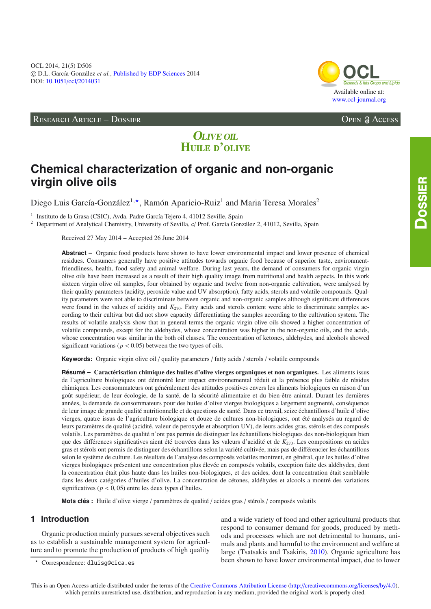## RESEARCH ARTICLE – DOSSIER Open Access

## **OLIVE OIL H**uile d**'**olive

# **Chemical characterization of organic and non-organic virgin olive oils**

Diego Luis García-González<sup>1,\*</sup>, Ramón Aparicio-Ruiz<sup>1</sup> and Maria Teresa Morales<sup>2</sup>

<sup>1</sup> Instituto de la Grasa (CSIC), Avda. Padre García Tejero 4, 41012 Seville, Spain

<sup>2</sup> Department of Analytical Chemistry, University of Sevilla, c/ Prof. García González 2, 41012, Sevilla, Spain

Received 27 May 2014 – Accepted 26 June 2014

**Abstract –** Organic food products have shown to have lower environmental impact and lower presence of chemical residues. Consumers generally have positive attitudes towards organic food because of superior taste, environmentfriendliness, health, food safety and animal welfare. During last years, the demand of consumers for organic virgin olive oils have been increased as a result of their high quality image from nutritional and health aspects. In this work sixteen virgin olive oil samples, four obtained by organic and twelve from non-organic cultivation, were analysed by their quality parameters (acidity, peroxide value and UV absorption), fatty acids, sterols and volatile compounds. Quality parameters were not able to discriminate between organic and non-organic samples although significant differences were found in the values of acidity and *K*270. Fatty acids and sterols content were able to discriminate samples according to their cultivar but did not show capacity differentiating the samples according to the cultivation system. The results of volatile analysis show that in general terms the organic virgin olive oils showed a higher concentration of volatile compounds, except for the aldehydes, whose concentration was higher in the non-organic oils, and the acids, whose concentration was similar in the both oil classes. The concentration of ketones, aldehydes, and alcohols showed significant variations ( $p < 0.05$ ) between the two types of oils.

**Keywords:** Organic virgin olive oil / quality parameters / fatty acids / sterols / volatile compounds

**Résumé – Caractérisation chimique des huiles d'olive vierges organiques et non organiques.** Les aliments issus de l'agriculture biologiques ont démontré leur impact environnemental réduit et la présence plus faible de résidus chimiques. Les consommateurs ont généralement des attitudes positives envers les aliments biologiques en raison d'un goût supérieur, de leur écologie, de la santé, de la sécurité alimentaire et du bien-être animal. Durant les dernières années, la demande de consommateurs pour des huiles d'olive vierges biologiques a largement augmenté, conséquence de leur image de grande qualité nutritionnelle et de questions de santé. Dans ce travail, seize échantillons d'huile d'olive vierges, quatre issus de l'agriculture biologique et douze de cultures non-biologiques, ont été analysés au regard de leurs paramètres de qualité (acidité, valeur de peroxyde et absorption UV), de leurs acides gras, stérols et des composés volatils. Les paramètres de qualité n'ont pas permis de distinguer les échantillons biologiques des non-biologiques bien que des différences significatives aient été trouvées dans les valeurs d'acidité et de *K*270. Les compositions en acides gras et stérols ont permis de distinguer des échantillons selon la variété cultivée, mais pas de différencier les échantillons selon le système de culture. Les résultats de l'analyse des composés volatiles montrent, en général, que les huiles d'olive vierges biologiques présentent une concentration plus élevée en composés volatils, exception faite des aldéhydes, dont la concentration était plus haute dans les huiles non-biologiques, et des acides, dont la concentration était semblable dans les deux catégories d'huiles d'olive. La concentration de cétones, aldéhydes et alcools a montré des variations significatives ( $p < 0,05$ ) entre les deux types d'huiles.

**Mots clés :** Huile d'olive vierge / paramètres de qualité / acides gras / stérols / composés volatils

## **1 Introduction**

Organic production mainly pursues several objectives such as to establish a sustainable management system for agriculture and to promote the production of products of high quality and a wide variety of food and other agricultural products that respond to consumer demand for goods, produced by methods and processes which are not detrimental to humans, animals and plants and harmful to the environment and welfare at large (Tsatsakis and Tsakiris, [2010\)](#page-5-0). Organic agriculture has been shown to have lower environmental impact, due to lower



 $\star$ Correspondence: dluisg@cica.es

This is an Open Access article distributed under the terms of the [Creative Commons Attribution License](http://creativecommons.org/licenses/by/4.0/) (http://[creativecommons.org](http://creativecommons.org/licenses/by/4.0)/licenses/by/4.0), which permits unrestricted use, distribution, and reproduction in any medium, provided the original work is properly cited.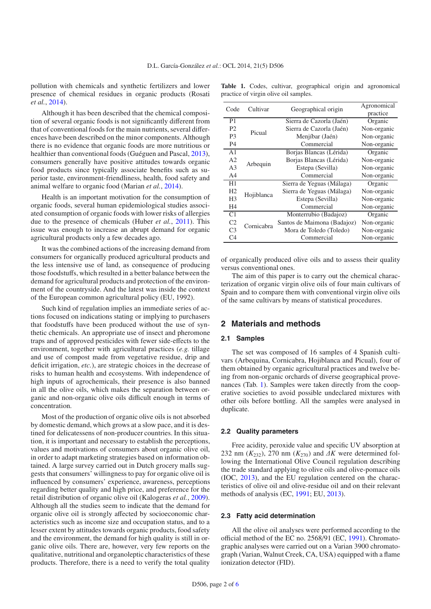pollution with chemicals and synthetic fertilizers and lower presence of chemical residues in organic products (Rosati *et al.*, [2014\)](#page-5-1).

Although it has been described that the chemical composition of several organic foods is not significantly different from that of conventional foods for the main nutrients, several differences have been described on the minor components. Although there is no evidence that organic foods are more nutritious or healthier than conventional foods (Guéguen and Pascal, [2013](#page-5-2)), consumers generally have positive attitudes towards organic food products since typically associate benefits such as superior taste, environment-friendliness, health, food safety and animal welfare to organic food (Marian *et al.*, [2014\)](#page-5-3).

Health is an important motivation for the consumption of organic foods, several human epidemiological studies associated consumption of organic foods with lower risks of allergies due to the presence of chemicals (Huber *et al.*, [2011\)](#page-5-4). This issue was enough to increase an abrupt demand for organic agricultural products only a few decades ago.

It was the combined actions of the increasing demand from consumers for organically produced agricultural products and the less intensive use of land, as consequence of producing those foodstuffs, which resulted in a better balance between the demand for agricultural products and protection of the environment of the countryside. And the latest was inside the context of the European common agricultural policy (EU, 1992).

Such kind of regulation implies an immediate series of actions focused on indications stating or implying to purchasers that foodstuffs have been produced without the use of synthetic chemicals. An appropriate use of insect and pheromone traps and of approved pesticides with fewer side-effects to the environment, together with agricultural practices (*e.g.* tillage and use of compost made from vegetative residue, drip and deficit irrigation, *etc.*), are strategic choices in the decrease of risks to human health and ecosystems. With independence of high inputs of agrochemicals, their presence is also banned in all the olive oils, which makes the separation between organic and non-organic olive oils difficult enough in terms of concentration.

Most of the production of organic olive oils is not absorbed by domestic demand, which grows at a slow pace, and it is destined for delicatessens of non-producer countries. In this situation, it is important and necessary to establish the perceptions, values and motivations of consumers about organic olive oil, in order to adapt marketing strategies based on information obtained. A large survey carried out in Dutch grocery malls suggests that consumers' willingness to pay for organic olive oil is influenced by consumers' experience, awareness, perceptions regarding better quality and high price, and preference for the retail distribution of organic olive oil (Kalogeras *et al.*, [2009](#page-5-5)). Although all the studies seem to indicate that the demand for organic olive oil is strongly affected by socioeconomic characteristics such as income size and occupation status, and to a lesser extent by attitudes towards organic products, food safety and the environment, the demand for high quality is still in organic olive oils. There are, however, very few reports on the qualitative, nutritional and organoleptic characteristics of these products. Therefore, there is a need to verify the total quality

| Code           | Cultivar   | Geographical origin                 | Agronomical<br>practice |             |
|----------------|------------|-------------------------------------|-------------------------|-------------|
| P1             |            | Sierra de Cazorla (Jaén)            | Organic                 |             |
| P2             | Picual     | Sierra de Cazorla (Jaén)            |                         |             |
| P <sub>3</sub> |            | Menjíbar (Jaén)                     |                         |             |
| P4             |            | Commercial                          | Non-organic             |             |
| A <sub>1</sub> |            | Borjas Blancas (Lérida)             | Organic                 |             |
| A2             |            | Borjas Blancas (Lérida)<br>Arbequin |                         | Non-organic |
| A <sub>3</sub> |            | Estepa (Sevilla)                    | Non-organic             |             |
| A <sub>4</sub> |            | Commercial                          | Non-organic             |             |
| H1             |            | Sierra de Yeguas (Málaga)           | Organic                 |             |
| H <sub>2</sub> |            | Sierra de Yeguas (Málaga)           | Non-organic             |             |
| H <sub>3</sub> | Hojiblanca | Estepa (Sevilla)                    | Non-organic             |             |
| H <sub>4</sub> |            | Commercial                          | Non-organic             |             |
| C1             |            | Monterrubio (Badajoz)               | Organic                 |             |
| C <sub>2</sub> | Cornicabra | Santos de Maimona (Badajoz)         |                         |             |
| C <sub>3</sub> |            | Mora de Toledo (Toledo)             | Non-organic             |             |
| C <sub>4</sub> |            | Commercial                          |                         |             |

<span id="page-1-0"></span>**Table 1.** Codes, cultivar, geographical origin and agronomical practice of virgin olive oil samples.

of organically produced olive oils and to assess their quality versus conventional ones.

The aim of this paper is to carry out the chemical characterization of organic virgin olive oils of four main cultivars of Spain and to compare them with conventional virgin olive oils of the same cultivars by means of statistical procedures.

## **2 Materials and methods**

#### **2.1 Samples**

The set was composed of 16 samples of 4 Spanish cultivars (Arbequina, Cornicabra, Hojiblanca and Picual), four of them obtained by organic agricultural practices and twelve being from non-organic orchards of diverse geographical provenances (Tab. [1\)](#page-1-0). Samples were taken directly from the cooperative societies to avoid possible undeclared mixtures with other oils before bottling. All the samples were analysed in duplicate.

#### **2.2 Quality parameters**

Free acidity, peroxide value and specific UV absorption at 232 nm  $(K_{232})$ , 270 nm  $(K_{270})$  and  $\Delta K$  were determined following the International Olive Council regulation describing the trade standard applying to olive oils and olive-pomace oils (IOC, [2013](#page-5-6)), and the EU regulation centered on the characteristics of olive oil and olive-residue oil and on their relevant methods of analysis (EC, [1991](#page-5-7); EU, [2013\)](#page-5-8).

#### **2.3 Fatty acid determination**

All the olive oil analyses were performed according to the official method of the EC no. 2568/91 (EC, [1991](#page-5-7)). Chromatographic analyses were carried out on a Varian 3900 chromatograph (Varian, Walnut Creek, CA, USA) equipped with a flame ionization detector (FID).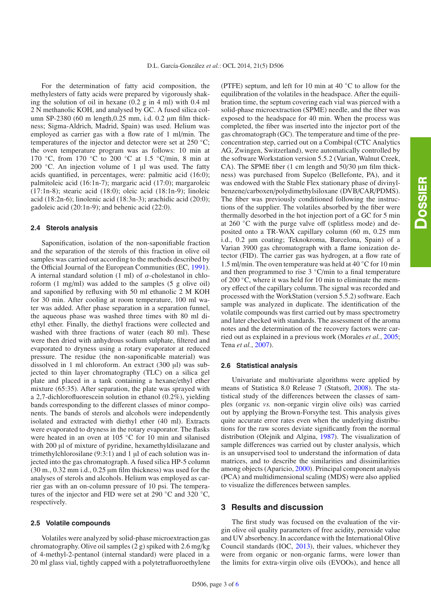For the determination of fatty acid composition, the methylesters of fatty acids were prepared by vigorously shaking the solution of oil in hexane (0.2 g in 4 ml) with 0.4 ml 2 N methanolic KOH, and analysed by GC. A fused silica column SP-2380 (60 m length,0.25 mm, i.d. 0.2 µm film thickness; Sigma-Aldrich, Madrid, Spain) was used. Helium was employed as carrier gas with a flow rate of 1 ml/min. The temperatures of the injector and detector were set at 250 ◦C; the oven temperature program was as follows: 10 min at 170 ◦C, from 170 ◦C to 200 ◦C at 1.5 ◦C/min, 8 min at 200  $°C$ . An injection volume of 1 µl was used. The fatty acids quantified, in percentages, were: palmitic acid (16:0); palmitoleic acid (16:1n-7); margaric acid (17:0); margaroleic (17:1n-8); stearic acid (18:0); oleic acid (18:1n-9); linoleic acid (18:2n-6); linolenic acid (18:3n-3); arachidic acid (20:0); gadoleic acid (20:1n-9); and behenic acid (22:0).

#### **2.4 Sterols analysis**

Saponification, isolation of the non-saponifiable fraction and the separation of the sterols of this fraction in olive oil samples was carried out according to the methods described by the Official Journal of the European Communities (EC, [1991](#page-5-7)). A internal standard solution (1 ml) of  $\alpha$ -cholestanol in chloroform (1 mg/ml) was added to the samples (5 g olive oil) and saponified by refluxing with 50 ml ethanolic 2 M KOH for 30 min. After cooling at room temperature, 100 ml water was added. After phase separation in a separation funnel, the aqueous phase was washed three times with 80 ml diethyl ether. Finally, the diethyl fractions were collected and washed with three fractions of water (each 80 ml). These were then dried with anhydrous sodium sulphate, filtered and evaporated to dryness using a rotary evaporator at reduced pressure. The residue (the non-saponificable material) was dissolved in 1 ml chloroform. An extract (300 µl) was subjected to thin layer chromatography (TLC) on a silica gel plate and placed in a tank containing a hexane/ethyl ether mixture (65:35). After separation, the plate was sprayed with a 2,7-dichlorofluorescein solution in ethanol (0.2%), yielding bands corresponding to the different classes of minor components. The bands of sterols and alcohols were independently isolated and extracted with diethyl ether (40 ml). Extracts were evaporated to dryness in the rotary evaporator. The flasks were heated in an oven at 105 ◦C for 10 min and silanised with 200 µl of mixture of pyridine, hexamethyldisilazane and trimethylchlorosilane (9:3:1) and 1 µl of each solution was injected into the gas chromatograph. A fused silica HP-5 column (30 m., 0.32 mm i.d., 0.25 µm film thickness) was used for the analyses of sterols and alcohols. Helium was employed as carrier gas with an on-column pressure of 10 psi. The temperatures of the injector and FID were set at 290 ◦C and 320 ◦C, respectively.

#### **2.5 Volatile compounds**

Volatiles were analyzed by solid-phase microextraction gas chromatography. Olive oil samples (2 g) spiked with 2.6 mg/kg of 4-methyl-2-pentanol (internal standard) were placed in a 20 ml glass vial, tightly capped with a polytetrafluoroethylene (PTFE) septum, and left for 10 min at 40 ◦C to allow for the equilibration of the volatiles in the headspace. After the equilibration time, the septum covering each vial was pierced with a solid-phase microextraction (SPME) needle, and the fiber was exposed to the headspace for 40 min. When the process was completed, the fiber was inserted into the injector port of the gas chromatograph (GC). The temperature and time of the preconcentration step, carried out on a Combipal (CTC Analytics AG, Zwingen, Switzerland), were automatically controlled by the software Workstation version 5.5.2 (Varian, Walnut Creek, CA). The SPME fiber (1 cm length and 50/30 µm film thickness) was purchased from Supelco (Bellefonte, PA), and it was endowed with the Stable Flex stationary phase of divinylbenzene/carboxen/polydimethylsiloxane (DVB/CAR/PDMS). The fiber was previously conditioned following the instructions of the supplier. The volatiles absorbed by the fiber were thermally desorbed in the hot injection port of a GC for 5 min at 260 ◦C with the purge valve off (splitless mode) and deposited onto a TR-WAX capillary column (60 m, 0.25 mm i.d., 0.2 µm coating; Teknokroma, Barcelona, Spain) of a Varian 3900 gas chromatograph with a flame ionization detector (FID). The carrier gas was hydrogen, at a flow rate of 1.5 ml/min. The oven temperature was held at 40 °C for 10 min and then programmed to rise 3 °C/min to a final temperature of 200 ◦C, where it was held for 10 min to eliminate the memory effect of the capillary column. The signal was recorded and processed with the WorkStation (version 5.5.2) software. Each sample was analyzed in duplicate. The identification of the volatile compounds was first carried out by mass spectrometry and later checked with standards. The assessment of the aroma notes and the determination of the recovery factors were carried out as explained in a previous work (Morales *et al.*, [2005;](#page-5-10) Tena *et al.*, [2007](#page-5-11)).

#### **2.6 Statistical analysis**

Univariate and multivariate algorithms were applied by means of Statistica 8.0 Release 7 (Statsoft, [2008\)](#page-5-12). The statistical study of the differences between the classes of samples (organic *vs.* non-organic virgin olive oils) was carried out by applying the Brown-Forsythe test. This analysis gives quite accurate error rates even when the underlying distributions for the raw scores deviate significantly from the normal distribution (Olejnik and Algina, [1987](#page-5-13)). The visualization of sample differences was carried out by cluster analysis, which is an unsupervised tool to understand the information of data matrices, and to describe the similarities and dissimilarities among objects (Aparicio, [2000](#page-5-14)). Principal component analysis (PCA) and multidimensional scaling (MDS) were also applied to visualize the differences between samples.

#### **3 Results and discussion**

The first study was focused on the evaluation of the virgin olive oil quality parameters of free acidity, peroxide value and UV absorbency. In accordance with the International Olive Council standards (IOC, [2013\)](#page-5-6), their values, whichever they were from organic or non-organic farms, were lower than the limits for extra-virgin olive oils (EVOOs), and hence all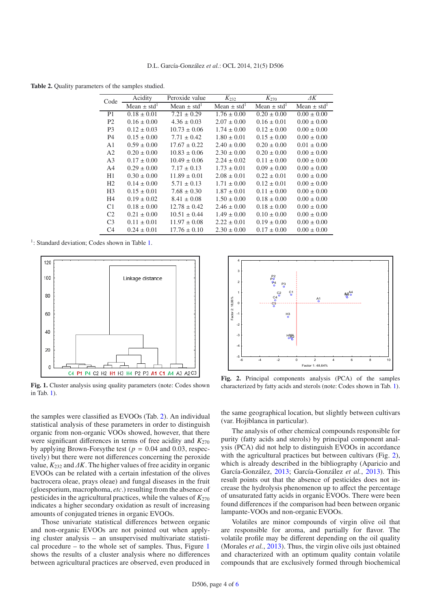<span id="page-3-0"></span>**Table 2.** Quality parameters of the samples studied.

| Code           | Acidity                     | Peroxide value              | $K_{232}$                   | $K_{270}$                   | ΔK                          |
|----------------|-----------------------------|-----------------------------|-----------------------------|-----------------------------|-----------------------------|
|                | Mean $\pm$ std <sup>1</sup> | Mean $\pm$ std <sup>1</sup> | Mean $\pm$ std <sup>1</sup> | Mean $\pm$ std <sup>1</sup> | Mean $\pm$ std <sup>1</sup> |
| P <sub>1</sub> | $0.18 \pm 0.01$             | $7.21 \pm 0.29$             | $1.76 \pm 0.00$             | $0.20 \pm 0.00$             | $0.00 \pm 0.00$             |
| P <sub>2</sub> | $0.16 \pm 0.00$             | $4.36 \pm 0.03$             | $2.07 \pm 0.00$             | $0.16 \pm 0.01$             | $0.00 \pm 0.00$             |
| P <sub>3</sub> | $0.12 \pm 0.03$             | $10.73 \pm 0.06$            | $1.74 \pm 0.00$             | $0.12 \pm 0.00$             | $0.00 \pm 0.00$             |
| P <sub>4</sub> | $0.15 \pm 0.00$             | $7.71 + 0.42$               | $1.80 \pm 0.01$             | $0.15 \pm 0.00$             | $0.00 \pm 0.00$             |
| A1             | $0.59 \pm 0.00$             | $17.67 \pm 0.22$            | $2.40 \pm 0.00$             | $0.20 \pm 0.00$             | $0.01 \pm 0.00$             |
| A <sub>2</sub> | $0.20 \pm 0.00$             | $10.83 \pm 0.06$            | $2.30 \pm 0.00$             | $0.20 \pm 0.00$             | $0.00 \pm 0.00$             |
| A <sub>3</sub> | $0.17 \pm 0.00$             | $10.49 \pm 0.06$            | $2.24 \pm 0.02$             | $0.11 \pm 0.00$             | $0.00 \pm 0.00$             |
| A <sub>4</sub> | $0.29 \pm 0.00$             | $7.17 \pm 0.13$             | $1.73 \pm 0.01$             | $0.09 \pm 0.00$             | $0.00 \pm 0.00$             |
| H1             | $0.30 \pm 0.00$             | $11.89 \pm 0.01$            | $2.08 \pm 0.01$             | $0.22 \pm 0.01$             | $0.00 \pm 0.00$             |
| H <sub>2</sub> | $0.14 \pm 0.00$             | $5.71 \pm 0.13$             | $1.71 \pm 0.00$             | $0.12 \pm 0.01$             | $0.00 \pm 0.00$             |
| H <sub>3</sub> | $0.15 \pm 0.01$             | $7.68 \pm 0.30$             | $1.87 \pm 0.01$             | $0.11 \pm 0.00$             | $0.00 \pm 0.00$             |
| H4             | $0.19 \pm 0.02$             | $8.41 \pm 0.08$             | $1.50 \pm 0.00$             | $0.18 \pm 0.00$             | $0.00 \pm 0.00$             |
| C <sub>1</sub> | $0.18 \pm 0.00$             | $12.78 \pm 0.42$            | $2.46 \pm 0.00$             | $0.18 \pm 0.00$             | $0.00 \pm 0.00$             |
| C <sub>2</sub> | $0.21 \pm 0.00$             | $10.51 \pm 0.44$            | $1.49 \pm 0.00$             | $0.10 \pm 0.00$             | $0.00 \pm 0.00$             |
| C <sub>3</sub> | $0.11 \pm 0.01$             | $11.97 \pm 0.08$            | $2.22 \pm 0.01$             | $0.19 \pm 0.00$             | $0.00 \pm 0.00$             |
| C <sub>4</sub> | $0.24 \pm 0.01$             | $17.76 \pm 0.10$            | $2.30 \pm 0.00$             | $0.17 \pm 0.00$             | $0.00 \pm 0.00$             |

<sup>1</sup>: Standard deviation; Codes shown in Table [1.](#page-1-0)

<span id="page-3-1"></span>

**Fig. 1.** Cluster analysis using quality parameters (note: Codes shown in Tab. [1\)](#page-1-0).

the samples were classified as EVOOs (Tab. [2\)](#page-3-0). An individual statistical analysis of these parameters in order to distinguish organic from non-organic VOOs showed, however, that there were significant differences in terms of free acidity and  $K_{270}$ by applying Brown-Forsythe test ( $p = 0.04$  and 0.03, respectively) but there were not differences concerning the peroxide value,  $K_{232}$  and  $\Delta K$ . The higher values of free acidity in organic EVOOs can be related with a certain infestation of the olives bactrocera oleae, prays oleae) and fungal diseases in the fruit (gloesporium, macrophoma, *etc*.) resulting from the absence of pesticides in the agricultural practices, while the values of  $K_{270}$ indicates a higher secondary oxidation as result of increasing amounts of conjugated trienes in organic EVOOs.

Those univariate statistical differences between organic and non-organic EVOOs are not pointed out when applying cluster analysis – an unsupervised multivariate statistical procedure – to the whole set of samples. Thus, Figure [1](#page-3-1) shows the results of a cluster analysis where no differences between agricultural practices are observed, even produced in

<span id="page-3-2"></span>

**Fig. 2.** Principal components analysis (PCA) of the samples characterized by fatty acids and sterols (note: Codes shown in Tab. [1\)](#page-1-0).

the same geographical location, but slightly between cultivars (var. Hojiblanca in particular).

The analysis of other chemical compounds responsible for purity (fatty acids and sterols) by principal component analysis (PCA) did not help to distinguish EVOOs in accordance with the agricultural practices but between cultivars (Fig. [2\)](#page-3-2), which is already described in the bibliography (Aparicio and García-González, [2013](#page-5-15); García-González *et al.*, [2013](#page-5-16)). This result points out that the absence of pesticides does not increase the hydrolysis phenomenon up to affect the percentage of unsaturated fatty acids in organic EVOOs. There were been found differences if the comparison had been between organic lampante-VOOs and non-organic EVOOs.

Volatiles are minor compounds of virgin olive oil that are responsible for aroma, and partially for flavor. The volatile profile may be different depending on the oil quality (Morales *et al.*, [2013\)](#page-5-17). Thus, the virgin olive oils just obtained and characterized with an optimum quality contain volatile compounds that are exclusively formed through biochemical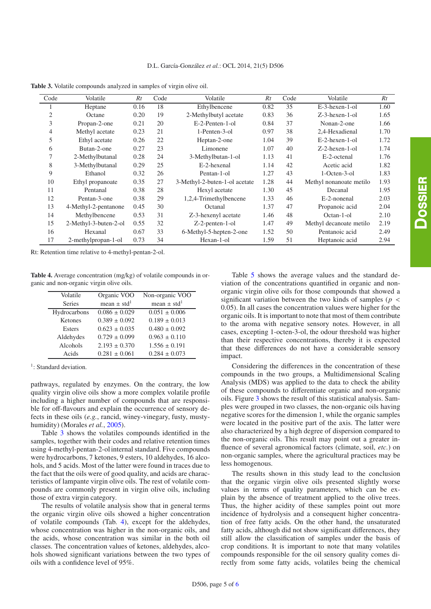<span id="page-4-1"></span>

| Code           | Volatile              | Rt   | Code | Volatile                      | Rt   | Code | Volatile                | Rt   |
|----------------|-----------------------|------|------|-------------------------------|------|------|-------------------------|------|
|                | Heptane               | 0.16 | 18   | Ethylbencene                  | 0.82 | 35   | E-3-hexen-1-ol          | 1.60 |
| $\overline{c}$ | Octane                | 0.20 | 19   | 2-Methylbutyl acetate         | 0.83 | 36   | $Z-3$ -hexen-1-ol       | 1.65 |
| 3              | Propan-2-one          | 0.21 | 20   | E-2-Penten-1-ol               | 0.84 | 37   | Nonan-2-one             | 1.66 |
| 4              | Methyl acetate        | 0.23 | 21   | 1-Penten-3-ol                 | 0.97 | 38   | 2,4-Hexadienal          | 1.70 |
| 5              | Ethyl acetate         | 0.26 | 22   | Heptan-2-one                  | 1.04 | 39   | E-2-hexen-1-ol          | 1.72 |
| 6              | Butan-2-one           | 0.27 | 23   | Limonene                      | 1.07 | 40   | $Z-2$ -hexen-1-ol       | 1.74 |
| 7              | 2-Methylbutanal       | 0.28 | 24   | 3-Methylbutan-1-ol            | 1.13 | 41   | E-2-octenal             | 1.76 |
| 8              | 3-Methylbutanal       | 0.29 | 25   | E-2-hexenal                   | 1.14 | 42   | Acetic acid             | 1.82 |
| 9              | Ethanol               | 0.32 | 26   | Pentan-1-ol                   | 1.27 | 43   | 1-Octen-3-ol            | 1.83 |
| 10             | Ethyl propanoate      | 0.35 | 27   | 3-Methyl-2-buten-1-ol acetate | 1.28 | 44   | Methyl nonanoate metilo | 1.93 |
| 11             | Pentanal              | 0.38 | 28   | Hexyl acetate                 | 1.30 | 45   | Decanal                 | 1.95 |
| 12             | Pentan-3-one          | 0.38 | 29   | 1,2,4-Trimethylbencene        | 1.33 | 46   | E-2-nonenal             | 2.03 |
| 13             | 4-Methyl-2-pentanone  | 0.45 | 30   | Octanal                       | 1.37 | 47   | Propanoic acid          | 2.04 |
| 14             | Methylbencene         | 0.53 | 31   | Z-3-hexenyl acetate           | 1.46 | 48   | Octan-1-ol              | 2.10 |
| 15             | 2-Methyl-3-buten-2-ol | 0.55 | 32   | $Z-2$ -penten-1-ol            | 1.47 | 49   | Methyl decanoate metilo | 2.19 |
| 16             | Hexanal               | 0.67 | 33   | 6-Methyl-5-hepten-2-one       | 1.52 | 50   | Pentanoic acid          | 2.49 |
| 17             | 2-methylpropan-1-ol   | 0.73 | 34   | Hexan-1-ol                    | 1.59 | 51   | Heptanoic acid          | 2.94 |

<span id="page-4-0"></span>**Table 3.** Volatile compounds analyzed in samples of virgin olive oil.

Rt: Retention time relative to 4-methyl-pentan-2-ol.

**Table 4.** Average concentration (mg/kg) of volatile compounds in organic and non-organic virgin olive oils.

| Volatile      | Organic VOO                 | Non-organic VOO             |
|---------------|-----------------------------|-----------------------------|
| <b>Series</b> | mean $\pm$ std <sup>1</sup> | mean $\pm$ std <sup>1</sup> |
| Hydrocarbons  | $0.086 \pm 0.029$           | $0.051 \pm 0.006$           |
| Ketones       | $0.389 \pm 0.092$           | $0.189 \pm 0.013$           |
| Esters        | $0.623 \pm 0.035$           | $0.480 \pm 0.092$           |
| Aldehydes     | $0.729 \pm 0.099$           | $0.963 \pm 0.110$           |
| Alcohols      | $2.193 \pm 0.370$           | $1.556 \pm 0.191$           |
| Acids         | $0.281 \pm 0.061$           | $0.284 \pm 0.073$           |

<sup>1</sup>: Standard deviation.

pathways, regulated by enzymes. On the contrary, the low quality virgin olive oils show a more complex volatile profile including a higher number of compounds that are responsible for off-flavours and explain the occurrence of sensory defects in these oils (*e.g.*, rancid, winey-vinegary, fusty, mustyhumidity) (Morales *et al.*, [2005\)](#page-5-10).

Table [3](#page-4-0) shows the volatiles compounds identified in the samples, together with their codes and relative retention times using 4-methyl-pentan-2-ol internal standard. Five compounds were hydrocarbons, 7 ketones, 9 esters, 10 aldehydes, 16 alcohols, and 5 acids. Most of the latter were found in traces due to the fact that the oils were of good quality, and acids are characteristics of lampante virgin olive oils. The rest of volatile compounds are commonly present in virgin olive oils, including those of extra virgin category.

The results of volatile analysis show that in general terms the organic virgin olive oils showed a higher concentration of volatile compounds (Tab. [4\)](#page-4-1), except for the aldehydes, whose concentration was higher in the non-organic oils, and the acids, whose concentration was similar in the both oil classes. The concentration values of ketones, aldehydes, alcohols showed significant variations between the two types of oils with a confidence level of 95%.

Table [5](#page-5-18) shows the average values and the standard deviation of the concentrations quantified in organic and nonorganic virgin olive oils for those compounds that showed a significant variation between the two kinds of samples ( $p <$ 0.05). In all cases the concentration values were higher for the organic oils. It is important to note that most of them contribute to the aroma with negative sensory notes. However, in all cases, excepting 1-octen-3-ol, the odour threshold was higher than their respective concentrations, thereby it is expected that these differences do not have a considerable sensory impact.

Considering the differences in the concentration of these compounds in the two groups, a Multidimensional Scaling Analysis (MDS) was applied to the data to check the ability of these compounds to differentiate organic and non-organic oils. Figure [3](#page-5-19) shows the result of this statistical analysis. Samples were grouped in two classes, the non-organic oils having negative scores for the dimension 1, while the organic samples were located in the positive part of the axis. The latter were also characterized by a high degree of dispersion compared to the non-organic oils. This result may point out a greater influence of several agronomical factors (climate, soil, *etc.*) on non-organic samples, where the agricultural practices may be less homogenous.

The results shown in this study lead to the conclusion that the organic virgin olive oils presented slightly worse values in terms of quality parameters, which can be explain by the absence of treatment applied to the olive trees. Thus, the higher acidity of these samples point out more incidence of hydrolysis and a consequent higher concentration of free fatty acids. On the other hand, the unsaturated fatty acids, although did not show significant differences, they still allow the classification of samples under the basis of crop conditions. It is important to note that many volatiles compounds responsible for the oil sensory quality comes directly from some fatty acids, volatiles being the chemical